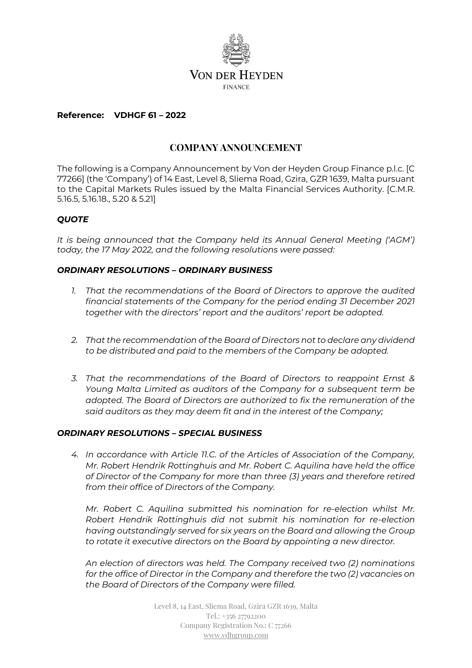

#### **Reference: VDHGF 61 – 2022**

# **COMPANY ANNOUNCEMENT**

The following is a Company Announcement by Von der Heyden Group Finance p.l.c. [C 77266] (the 'Company') of 14 East, Level 8, Sliema Road, Gzira, GZR 1639, Malta pursuant to the Capital Markets Rules issued by the Malta Financial Services Authority. [C.M.R. 5.16.5, 5.16.18., 5.20 & 5.21]

### *QUOTE*

*It is being announced that the Company held its Annual General Meeting ('AGM') today, the 17 May 2022, and the following resolutions were passed:*

### *ORDINARY RESOLUTIONS – ORDINARY BUSINESS*

- *1. That the recommendations of the Board of Directors to approve the audited financial statements of the Company for the period ending 31 December 2021 together with the directors' report and the auditors' report be adopted.*
- *2. That the recommendation of the Board of Directors not to declare any dividend to be distributed and paid to the members of the Company be adopted.*
- *3. That the recommendations of the Board of Directors to reappoint Ernst & Young Malta Limited as auditors of the Company for a subsequent term be adopted. The Board of Directors are authorized to fix the remuneration of the said auditors as they may deem fit and in the interest of the Company;*

#### *ORDINARY RESOLUTIONS – SPECIAL BUSINESS*

*4. In accordance with Article 11.C. of the Articles of Association of the Company, Mr. Robert Hendrik Rottinghuis and Mr. Robert C. Aquilina have held the office of Director of the Company for more than three (3) years and therefore retired from their office of Directors of the Company.* 

*Mr. Robert C. Aquilina submitted his nomination for re-election whilst Mr. Robert Hendrik Rottinghuis did not submit his nomination for re-election having outstandingly served for six years on the Board and allowing the Group to rotate it executive directors on the Board by appointing a new director.*

*An election of directors was held. The Company received two (2) nominations for the office of Director in the Company and therefore the two (2) vacancies on the Board of Directors of the Company were filled.*

> Level 8, 14 East, Sliema Road, Gzira GZR 1639, Malta Tel.: +356 27792200 Company Registration No.: C 77266 [www.vdhgroup.com](http://www.vdhgroup.com/)